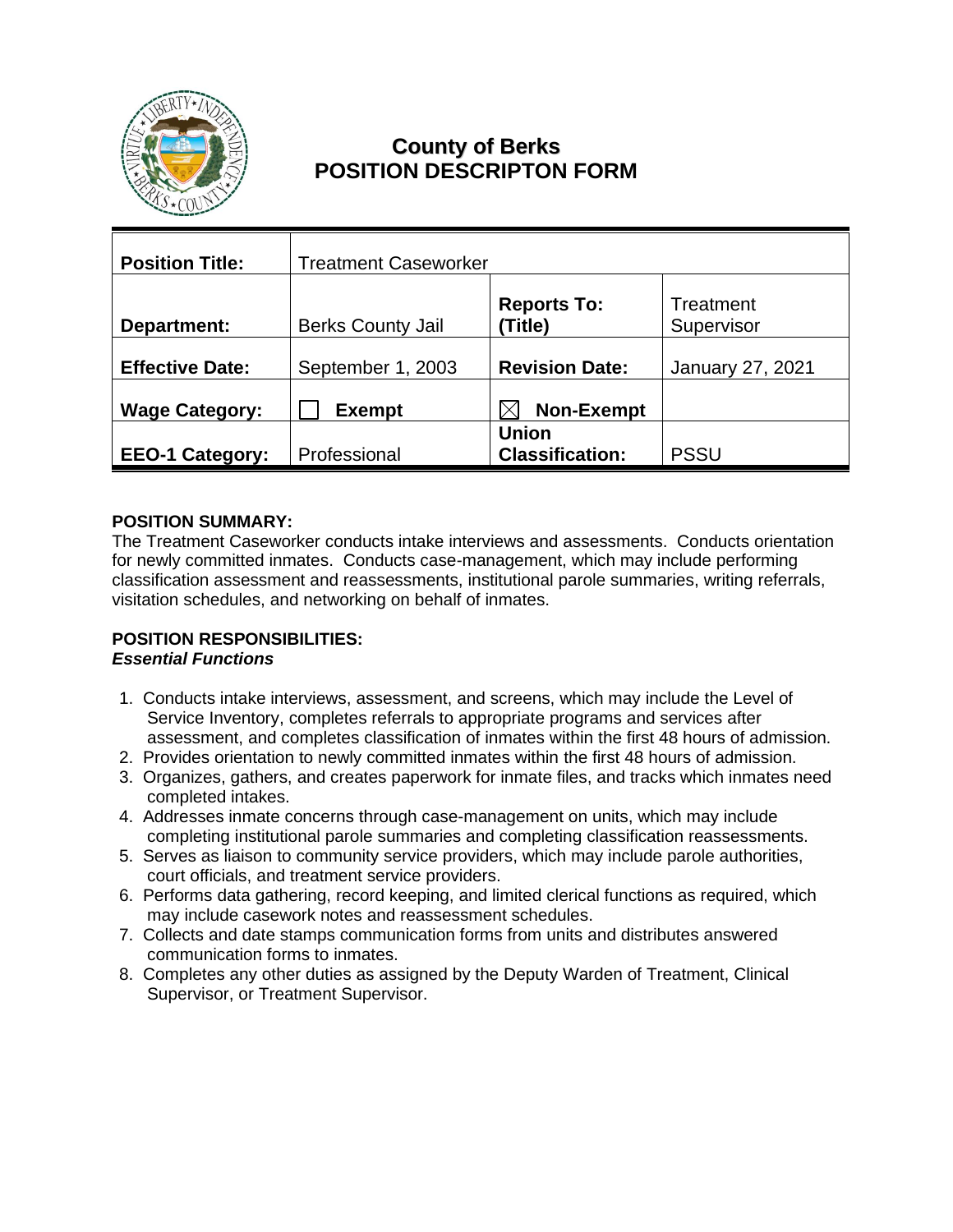

# **County of Berks POSITION DESCRIPTON FORM**

| <b>Position Title:</b> | <b>Treatment Caseworker</b> |                                        |                         |
|------------------------|-----------------------------|----------------------------------------|-------------------------|
| Department:            | <b>Berks County Jail</b>    | <b>Reports To:</b><br>(Title)          | Treatment<br>Supervisor |
| <b>Effective Date:</b> | September 1, 2003           | <b>Revision Date:</b>                  | January 27, 2021        |
| <b>Wage Category:</b>  | <b>Exempt</b>               | <b>Non-Exempt</b>                      |                         |
| <b>EEO-1 Category:</b> | Professional                | <b>Union</b><br><b>Classification:</b> | <b>PSSU</b>             |

# **POSITION SUMMARY:**

The Treatment Caseworker conducts intake interviews and assessments. Conducts orientation for newly committed inmates. Conducts case-management, which may include performing classification assessment and reassessments, institutional parole summaries, writing referrals, visitation schedules, and networking on behalf of inmates.

#### **POSITION RESPONSIBILITIES:** *Essential Functions*

- 1. Conducts intake interviews, assessment, and screens, which may include the Level of Service Inventory, completes referrals to appropriate programs and services after assessment, and completes classification of inmates within the first 48 hours of admission.
- 2. Provides orientation to newly committed inmates within the first 48 hours of admission.
- 3. Organizes, gathers, and creates paperwork for inmate files, and tracks which inmates need completed intakes.
- 4. Addresses inmate concerns through case-management on units, which may include completing institutional parole summaries and completing classification reassessments.
- 5. Serves as liaison to community service providers, which may include parole authorities, court officials, and treatment service providers.
- 6. Performs data gathering, record keeping, and limited clerical functions as required, which may include casework notes and reassessment schedules.
- 7. Collects and date stamps communication forms from units and distributes answered communication forms to inmates.
- 8. Completes any other duties as assigned by the Deputy Warden of Treatment, Clinical Supervisor, or Treatment Supervisor.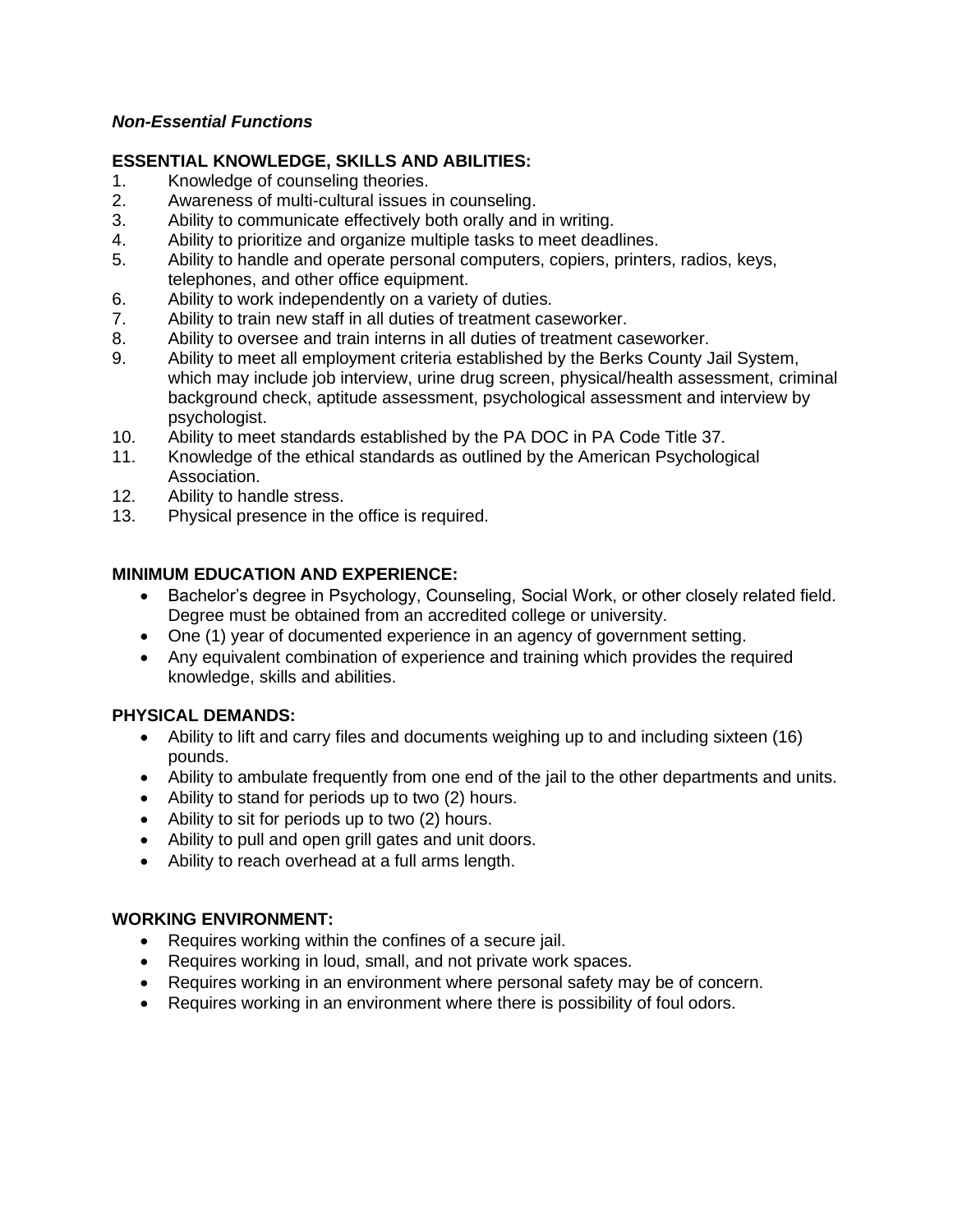## *Non-Essential Functions*

### **ESSENTIAL KNOWLEDGE, SKILLS AND ABILITIES:**

- 1. Knowledge of counseling theories.
- 2. Awareness of multi-cultural issues in counseling.
- 3. Ability to communicate effectively both orally and in writing.
- 4. Ability to prioritize and organize multiple tasks to meet deadlines.
- 5. Ability to handle and operate personal computers, copiers, printers, radios, keys, telephones, and other office equipment.
- 6. Ability to work independently on a variety of duties.
- 7. Ability to train new staff in all duties of treatment caseworker.
- 8. Ability to oversee and train interns in all duties of treatment caseworker.
- 9. Ability to meet all employment criteria established by the Berks County Jail System, which may include job interview, urine drug screen, physical/health assessment, criminal background check, aptitude assessment, psychological assessment and interview by psychologist.
- 10. Ability to meet standards established by the PA DOC in PA Code Title 37.
- 11. Knowledge of the ethical standards as outlined by the American Psychological Association.
- 12. Ability to handle stress.
- 13. Physical presence in the office is required.

## **MINIMUM EDUCATION AND EXPERIENCE:**

- Bachelor's degree in Psychology, Counseling, Social Work, or other closely related field. Degree must be obtained from an accredited college or university.
- One (1) year of documented experience in an agency of government setting.
- Any equivalent combination of experience and training which provides the required knowledge, skills and abilities.

#### **PHYSICAL DEMANDS:**

- Ability to lift and carry files and documents weighing up to and including sixteen (16) pounds.
- Ability to ambulate frequently from one end of the jail to the other departments and units.
- Ability to stand for periods up to two (2) hours.
- Ability to sit for periods up to two (2) hours.
- Ability to pull and open grill gates and unit doors.
- Ability to reach overhead at a full arms length.

#### **WORKING ENVIRONMENT:**

- Requires working within the confines of a secure jail.
- Requires working in loud, small, and not private work spaces.
- Requires working in an environment where personal safety may be of concern.
- Requires working in an environment where there is possibility of foul odors.